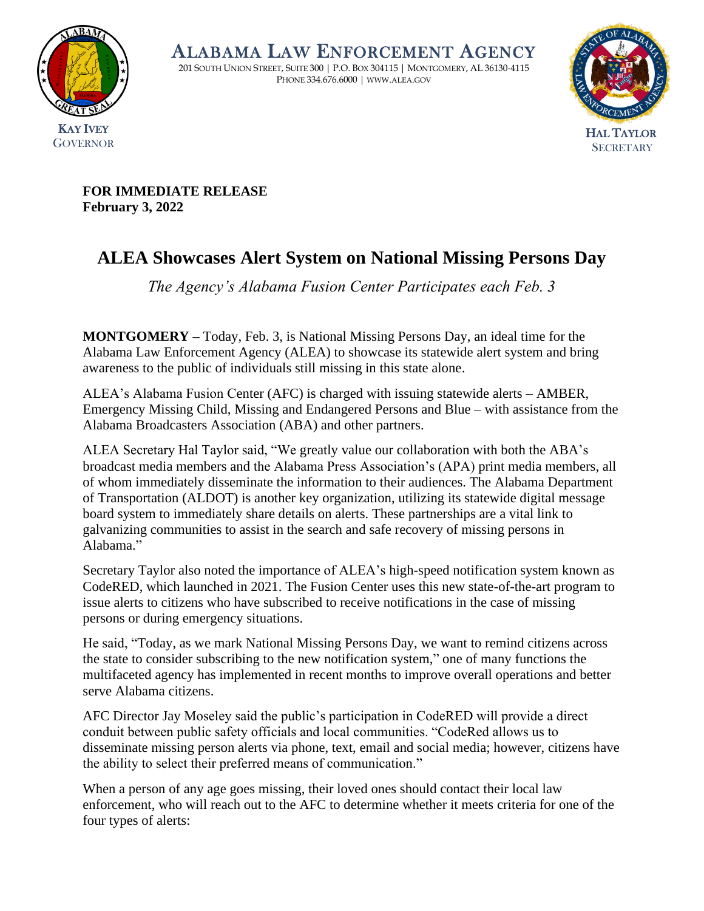

ALABAMA LAW ENFORCEMENT AGENCY

201 SOUTH UNION STREET, SUITE 300 | P.O. BOX 304115 | MONTGOMERY, AL 36130-4115 PHONE 334.676.6000 | WWW.ALEA.GOV



**FOR IMMEDIATE RELEASE February 3, 2022**

## **ALEA Showcases Alert System on National Missing Persons Day**

*The Agency's Alabama Fusion Center Participates each Feb. 3*

**MONTGOMERY –** Today, Feb. 3, is National Missing Persons Day, an ideal time for the Alabama Law Enforcement Agency (ALEA) to showcase its statewide alert system and bring awareness to the public of individuals still missing in this state alone.

ALEA's Alabama Fusion Center (AFC) is charged with issuing statewide alerts – AMBER, Emergency Missing Child, Missing and Endangered Persons and Blue – with assistance from the Alabama Broadcasters Association (ABA) and other partners.

ALEA Secretary Hal Taylor said, "We greatly value our collaboration with both the ABA's broadcast media members and the Alabama Press Association's (APA) print media members, all of whom immediately disseminate the information to their audiences. The Alabama Department of Transportation (ALDOT) is another key organization, utilizing its statewide digital message board system to immediately share details on alerts. These partnerships are a vital link to galvanizing communities to assist in the search and safe recovery of missing persons in Alabama."

Secretary Taylor also noted the importance of ALEA's high-speed notification system known as CodeRED, which launched in 2021. The Fusion Center uses this new state-of-the-art program to issue alerts to citizens who have subscribed to receive notifications in the case of missing persons or during emergency situations.

He said, "Today, as we mark National Missing Persons Day, we want to remind citizens across the state to consider subscribing to the new notification system," one of many functions the multifaceted agency has implemented in recent months to improve overall operations and better serve Alabama citizens.

AFC Director Jay Moseley said the public's participation in CodeRED will provide a direct conduit between public safety officials and local communities. "CodeRed allows us to disseminate missing person alerts via phone, text, email and social media; however, citizens have the ability to select their preferred means of communication."

When a person of any age goes missing, their loved ones should contact their local law enforcement, who will reach out to the AFC to determine whether it meets criteria for one of the four types of alerts: